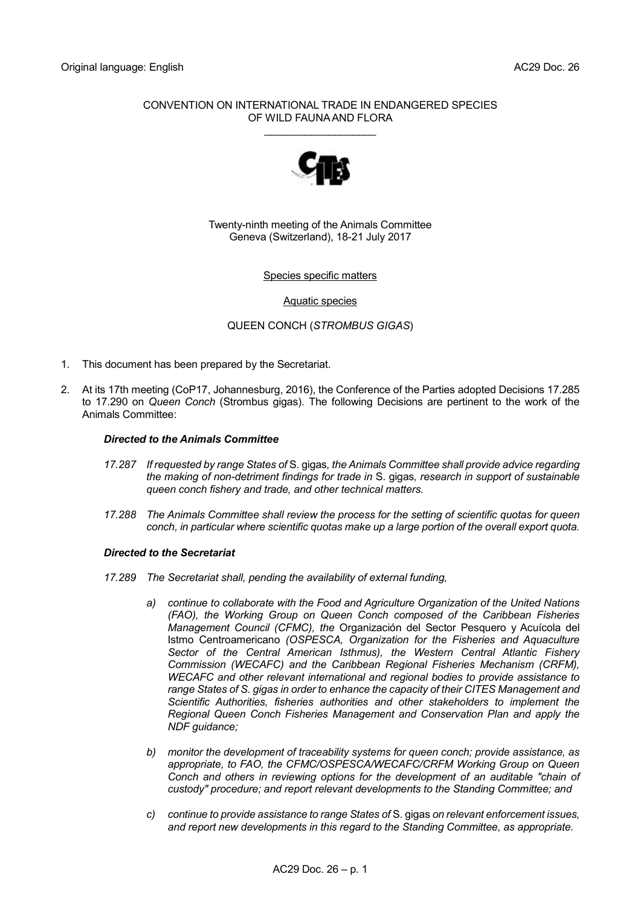# CONVENTION ON INTERNATIONAL TRADE IN ENDANGERED SPECIES OF WILD FAUNA AND FLORA

\_\_\_\_\_\_\_\_\_\_\_\_\_\_\_\_\_\_\_



Twenty-ninth meeting of the Animals Committee Geneva (Switzerland), 18-21 July 2017

# Species specific matters

Aquatic species

QUEEN CONCH (*STROMBUS GIGAS*)

- 1. This document has been prepared by the Secretariat.
- 2. At its 17th meeting (CoP17, Johannesburg, 2016), the Conference of the Parties adopted Decisions 17.285 to 17.290 on *Queen Conch* (Strombus gigas). The following Decisions are pertinent to the work of the Animals Committee:

# *Directed to the Animals Committee*

- *17.287 If requested by range States of* S. gigas*, the Animals Committee shall provide advice regarding the making of non-detriment findings for trade in* S. gigas*, research in support of sustainable queen conch fishery and trade, and other technical matters.*
- *17.288 The Animals Committee shall review the process for the setting of scientific quotas for queen conch, in particular where scientific quotas make up a large portion of the overall export quota.*

#### *Directed to the Secretariat*

- *17.289 The Secretariat shall, pending the availability of external funding,*
	- *a) continue to collaborate with the Food and Agriculture Organization of the United Nations (FAO), the Working Group on Queen Conch composed of the Caribbean Fisheries Management Council (CFMC), the* Organización del Sector Pesquero y Acuícola del Istmo Centroamericano *(OSPESCA, Organization for the Fisheries and Aquaculture Sector of the Central American Isthmus), the Western Central Atlantic Fishery Commission (WECAFC) and the Caribbean Regional Fisheries Mechanism (CRFM), WECAFC and other relevant international and regional bodies to provide assistance to range States of S. gigas in order to enhance the capacity of their CITES Management and Scientific Authorities, fisheries authorities and other stakeholders to implement the Regional Queen Conch Fisheries Management and Conservation Plan and apply the NDF guidance;*
	- *b) monitor the development of traceability systems for queen conch; provide assistance, as appropriate, to FAO, the CFMC/OSPESCA/WECAFC/CRFM Working Group on Queen Conch and others in reviewing options for the development of an auditable "chain of custody" procedure; and report relevant developments to the Standing Committee; and*
	- *c) continue to provide assistance to range States of* S. gigas *on relevant enforcement issues, and report new developments in this regard to the Standing Committee, as appropriate.*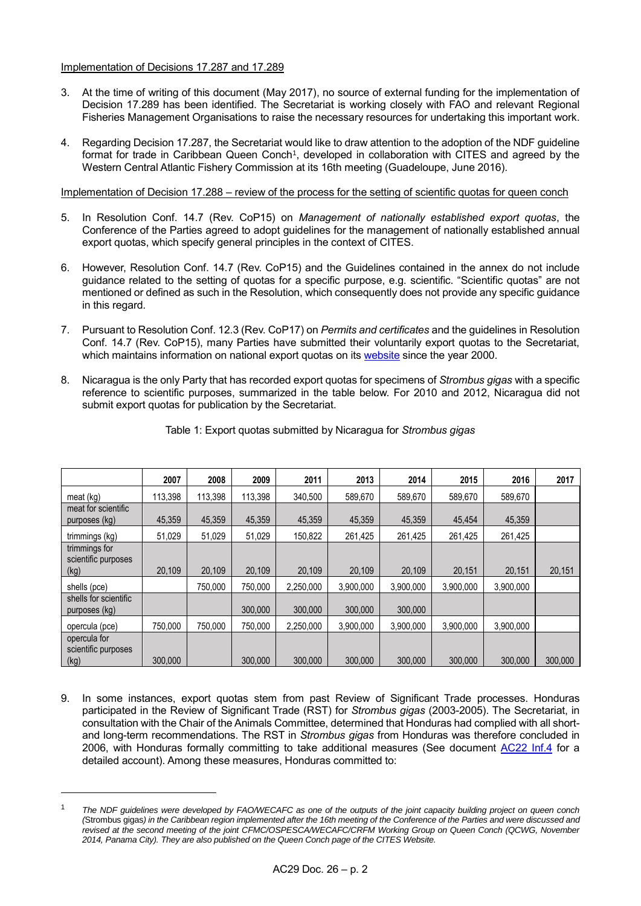# Implementation of Decisions 17.287 and 17.289

-

- 3. At the time of writing of this document (May 2017), no source of external funding for the implementation of Decision 17.289 has been identified. The Secretariat is working closely with FAO and relevant Regional Fisheries Management Organisations to raise the necessary resources for undertaking this important work.
- 4. Regarding Decision 17.287, the Secretariat would like to draw attention to the adoption of the NDF guideline format for trade in Caribbean Queen Conch<sup>1</sup>, developed in collaboration with CITES and agreed by the Western Central Atlantic Fishery Commission at its 16th meeting (Guadeloupe, June 2016).

Implementation of Decision 17.288 – review of the process for the setting of scientific quotas for queen conch

- 5. In Resolution Conf. 14.7 (Rev. CoP15) on *Management of nationally established export quotas*, the Conference of the Parties agreed to adopt guidelines for the management of nationally established annual export quotas, which specify general principles in the context of CITES.
- 6. However, Resolution Conf. 14.7 (Rev. CoP15) and the Guidelines contained in the annex do not include guidance related to the setting of quotas for a specific purpose, e.g. scientific. "Scientific quotas" are not mentioned or defined as such in the Resolution, which consequently does not provide any specific guidance in this regard.
- 7. Pursuant to Resolution Conf. 12.3 (Rev. CoP17) on *Permits and certificates* and the guidelines in Resolution Conf. 14.7 (Rev. CoP15), many Parties have submitted their voluntarily export quotas to the Secretariat, which maintains information on national export quotas on its [website](https://cites.org/eng/resources/quotas/index.php) since the year 2000.
- 8. Nicaragua is the only Party that has recorded export quotas for specimens of *Strombus gigas* with a specific reference to scientific purposes, summarized in the table below. For 2010 and 2012, Nicaragua did not submit export quotas for publication by the Secretariat.

|                                              | 2007    | 2008    | 2009    | 2011      | 2013      | 2014      | 2015      | 2016      | 2017    |
|----------------------------------------------|---------|---------|---------|-----------|-----------|-----------|-----------|-----------|---------|
| meat (kg)                                    | 113,398 | 113,398 | 113,398 | 340,500   | 589,670   | 589,670   | 589,670   | 589,670   |         |
| meat for scientific<br>purposes (kg)         | 45,359  | 45,359  | 45.359  | 45,359    | 45,359    | 45,359    | 45.454    | 45,359    |         |
| trimmings (kg)                               | 51,029  | 51,029  | 51,029  | 150,822   | 261.425   | 261.425   | 261,425   | 261,425   |         |
| trimmings for<br>scientific purposes<br>(kg) | 20,109  | 20.109  | 20.109  | 20,109    | 20,109    | 20,109    | 20,151    | 20,151    | 20,151  |
| shells (pce)                                 |         | 750.000 | 750.000 | 2,250,000 | 3,900,000 | 3,900,000 | 3,900,000 | 3,900,000 |         |
| shells for scientific<br>purposes (kg)       |         |         | 300.000 | 300,000   | 300.000   | 300.000   |           |           |         |
| opercula (pce)                               | 750.000 | 750.000 | 750.000 | 2.250.000 | 3.900.000 | 3.900.000 | 3.900.000 | 3.900.000 |         |
| opercula for<br>scientific purposes<br>(kg)  | 300,000 |         | 300,000 | 300,000   | 300,000   | 300,000   | 300,000   | 300,000   | 300,000 |

# Table 1: Export quotas submitted by Nicaragua for *Strombus gigas*

9. In some instances, export quotas stem from past Review of Significant Trade processes. Honduras participated in the Review of Significant Trade (RST) for *Strombus gigas* (2003-2005). The Secretariat, in consultation with the Chair of the Animals Committee, determined that Honduras had complied with all shortand long-term recommendations. The RST in *Strombus gigas* from Honduras was therefore concluded in 2006, with Honduras formally committing to take additional measures (See document [AC22 Inf.4](https://cites.org/sites/default/files/common/com/ac/22/EFS-AC22-Inf04.pdf) for a detailed account). Among these measures, Honduras committed to:

<sup>1</sup> *The NDF guidelines were developed by FAO/WECAFC as one of the outputs of the joint capacity building project on queen conch (*Strombus gigas*) in the Caribbean region implemented after the 16th meeting of the Conference of the Parties and were discussed and revised at the second meeting of the joint CFMC/OSPESCA/WECAFC/CRFM Working Group on Queen Conch (QCWG, November 2014, Panama City). They are also published on the Queen Conch page of the CITES Website.*